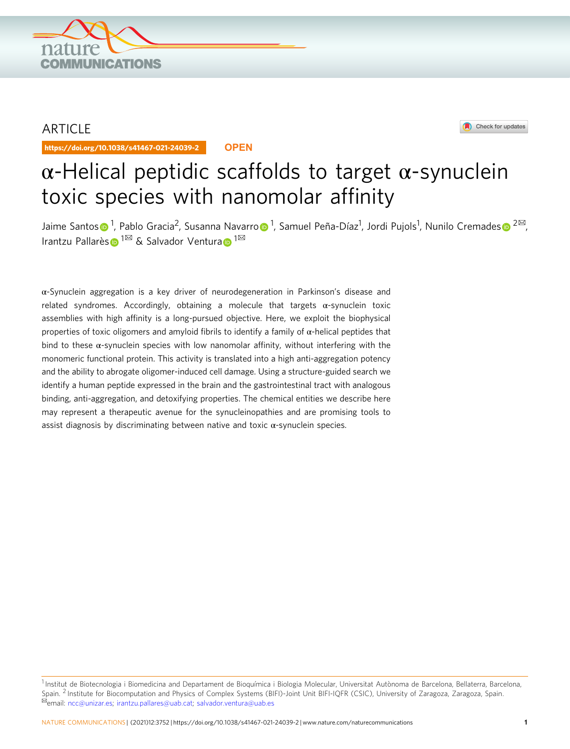

## ARTICLE

https://doi.org/10.1038/s41467-021-24039-2 **OPEN**



# $\alpha$ -Helical peptidic scaffolds to target  $\alpha$ -synuclein toxic species with nanomolar affinity

Jaime Santo[s](http://orcid.org/0000-0002-9138-6687)⊕<sup>[1](http://orcid.org/0000-0001-8160-9536)</sup>, Pabl[o](http://orcid.org/0000-0001-8160-9536) Gracia<sup>2</sup>, Susanna Navarro⊕<sup>1</sup>, Samuel Peña-Díaz<sup>1</sup>, Jordi Pujols<sup>1</sup>, Nunilo Cremades⊕ <sup>2⊠</sup>, Irantzu Pallarè[s](http://orcid.org/0000-0002-8205-2060) [1](http://orcid.org/0000-0002-9652-6351)<sup>⊠</sup> & S[a](http://orcid.org/0000-0002-9652-6351)lvador Ventura D<sup>1⊠</sup>

α-Synuclein aggregation is a key driver of neurodegeneration in Parkinson's disease and related syndromes. Accordingly, obtaining a molecule that targets α-synuclein toxic assemblies with high affinity is a long-pursued objective. Here, we exploit the biophysical properties of toxic oligomers and amyloid fibrils to identify a family of  $\alpha$ -helical peptides that bind to these  $\alpha$ -synuclein species with low nanomolar affinity, without interfering with the monomeric functional protein. This activity is translated into a high anti-aggregation potency and the ability to abrogate oligomer-induced cell damage. Using a structure-guided search we identify a human peptide expressed in the brain and the gastrointestinal tract with analogous binding, anti-aggregation, and detoxifying properties. The chemical entities we describe here may represent a therapeutic avenue for the synucleinopathies and are promising tools to assist diagnosis by discriminating between native and toxic α-synuclein species.

<sup>&</sup>lt;sup>1</sup> Institut de Biotecnologia i Biomedicina and Departament de Bioquímica i Biologia Molecular, Universitat Autònoma de Barcelona, Bellaterra, Barcelona, Spain. <sup>2</sup> Institute for Biocomputation and Physics of Complex Systems (BIFI)-Joint Unit BIFI-IQFR (CSIC), University of Zaragoza, Zaragoza, Spain. <sup>⊠</sup>email: [ncc@unizar.es;](mailto:ncc@unizar.es) [irantzu.pallares@uab.cat](mailto:irantzu.pallares@uab.cat); [salvador.ventura@uab.es](mailto:salvador.ventura@uab.es)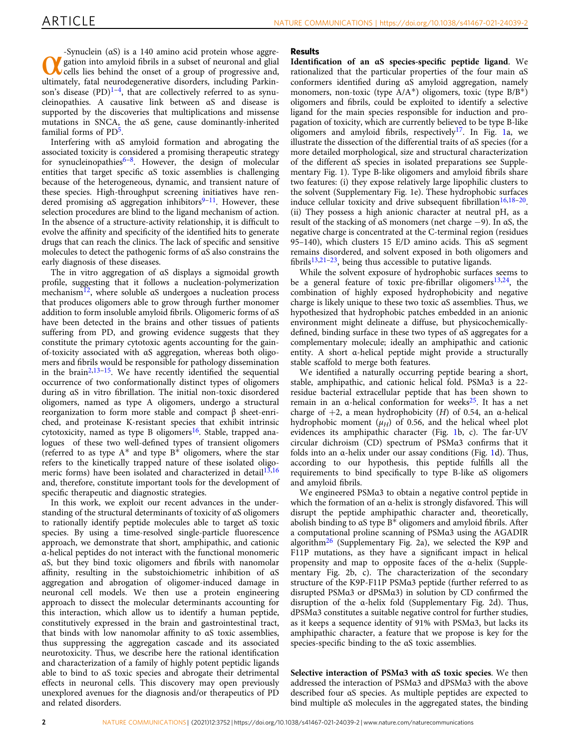-Synuclein (αS) is a 140 amino acid protein whose aggre-<br> **W** gation into amyloid fibrils in a subset of neuronal and glial<br>
ultimately, fatal neurodegenerative disorders, including Parkingation into amyloid fibrils in a subset of neuronal and glial **V** cells lies behind the onset of a group of progressive and, son's disease  $(PD)^{1-4}$  $(PD)^{1-4}$  $(PD)^{1-4}$ , that are collectively referred to as synucleinopathies. A causative link between αS and disease is supported by the discoveries that multiplications and missense mutations in SNCA, the αS gene, cause dominantly-inherited familial forms of  $PD<sup>5</sup>$ .

Interfering with αS amyloid formation and abrogating the associated toxicity is considered a promising therapeutic strategy for synucleinopathies $6-8$  $6-8$  $6-8$ . However, the design of molecular entities that target specific αS toxic assemblies is challenging because of the heterogeneous, dynamic, and transient nature of these species. High-throughput screening initiatives have rendered promising  $\alpha S$  aggregation inhibitors<sup>[9](#page-12-0)-11</sup>. However, these selection procedures are blind to the ligand mechanism of action. In the absence of a structure-activity relationship, it is difficult to evolve the affinity and specificity of the identified hits to generate drugs that can reach the clinics. The lack of specific and sensitive molecules to detect the pathogenic forms of αS also constrains the early diagnosis of these diseases.

The in vitro aggregation of αS displays a sigmoidal growth profile, suggesting that it follows a nucleation-polymerization mechanism<sup>12</sup>, where soluble  $\alpha S$  undergoes a nucleation process that produces oligomers able to grow through further monomer addition to form insoluble amyloid fibrils. Oligomeric forms of αS have been detected in the brains and other tissues of patients suffering from PD, and growing evidence suggests that they constitute the primary cytotoxic agents accounting for the gainof-toxicity associated with αS aggregation, whereas both oligomers and fibrils would be responsible for pathology dissemination in the brain<sup>[2,13](#page-12-0)-15</sup>. We have recently identified the sequential occurrence of two conformationally distinct types of oligomers during αS in vitro fibrillation. The initial non-toxic disordered oligomers, named as type A oligomers, undergo a structural reorganization to form more stable and compact β sheet-enriched, and proteinase K-resistant species that exhibit intrinsic cytotoxicity, named as type B oligomers<sup>16</sup>. Stable, trapped analogues of these two well-defined types of transient oligomers (referred to as type  $A^*$  and type  $B^*$  oligomers, where the star refers to the kinetically trapped nature of these isolated oligomeric forms) have been isolated and characterized in detail $13,16$  $13,16$ and, therefore, constitute important tools for the development of specific therapeutic and diagnostic strategies.

In this work, we exploit our recent advances in the understanding of the structural determinants of toxicity of αS oligomers to rationally identify peptide molecules able to target αS toxic species. By using a time-resolved single-particle fluorescence approach, we demonstrate that short, amphipathic, and cationic α-helical peptides do not interact with the functional monomeric αS, but they bind toxic oligomers and fibrils with nanomolar affinity, resulting in the substoichiometric inhibition of αS aggregation and abrogation of oligomer-induced damage in neuronal cell models. We then use a protein engineering approach to dissect the molecular determinants accounting for this interaction, which allow us to identify a human peptide, constitutively expressed in the brain and gastrointestinal tract, that binds with low nanomolar affinity to αS toxic assemblies, thus suppressing the aggregation cascade and its associated neurotoxicity. Thus, we describe here the rational identification and characterization of a family of highly potent peptidic ligands able to bind to αS toxic species and abrogate their detrimental effects in neuronal cells. This discovery may open previously unexplored avenues for the diagnosis and/or therapeutics of PD and related disorders.

### Results

Identification of an αS species-specific peptide ligand. We rationalized that the particular properties of the four main αS conformers identified during αS amyloid aggregation, namely monomers, non-toxic (type  $A/A^*$ ) oligomers, toxic (type  $B/B^*$ ) oligomers and fibrils, could be exploited to identify a selective ligand for the main species responsible for induction and propagation of toxicity, which are currently believed to be type B-like oligomers and amyloid fibrils, respectively<sup>[17](#page-13-0)</sup>. In Fig. [1](#page-2-0)a, we illustrate the dissection of the differential traits of αS species (for a more detailed morphological, size and structural characterization of the different αS species in isolated preparations see Supplementary Fig. 1). Type B-like oligomers and amyloid fibrils share two features: (i) they expose relatively large lipophilic clusters to the solvent (Supplementary Fig. 1e). These hydrophobic surfaces induce cellular toxicity and drive subsequent fibrillation<sup>[16,18](#page-13-0)–20</sup>. (ii) They possess a high anionic character at neutral pH, as a result of the stacking of  $\alpha S$  monomers (net charge  $-9$ ). In  $\alpha S$ , the negative charge is concentrated at the C-terminal region (residues 95–140), which clusters 15 E/D amino acids. This αS segment remains disordered, and solvent exposed in both oligomers and fibrils $13,21-23$  $13,21-23$  $13,21-23$  $13,21-23$ , being thus accessible to putative ligands.

While the solvent exposure of hydrophobic surfaces seems to be a general feature of toxic pre-fibrillar oligomers<sup>[13](#page-12-0),[24](#page-13-0)</sup>, the combination of highly exposed hydrophobicity and negative charge is likely unique to these two toxic αS assemblies. Thus, we hypothesized that hydrophobic patches embedded in an anionic environment might delineate a diffuse, but physicochemicallydefined, binding surface in these two types of αS aggregates for a complementary molecule; ideally an amphipathic and cationic entity. A short α-helical peptide might provide a structurally stable scaffold to merge both features.

We identified a naturally occurring peptide bearing a short, stable, amphipathic, and cationic helical fold. PSMα3 is a 22 residue bacterial extracellular peptide that has been shown to remain in an α-helical conformation for weeks<sup>25</sup>. It has a net charge of  $+2$ , a mean hydrophobicity (H) of 0.54, an  $\alpha$ -helical hydrophobic moment  $(\mu_H)$  of 0.56, and the helical wheel plot evidences its amphipathic character (Fig. [1](#page-2-0)b, c). The far-UV circular dichroism (CD) spectrum of PSMα3 confirms that it folds into an  $\alpha$ -helix under our assay conditions (Fig. [1](#page-2-0)d). Thus, according to our hypothesis, this peptide fulfills all the requirements to bind specifically to type B-like αS oligomers and amyloid fibrils.

We engineered PSMα3 to obtain a negative control peptide in which the formation of an α-helix is strongly disfavored. This will disrupt the peptide amphipathic character and, theoretically, abolish binding to αS type B\* oligomers and amyloid fibrils. After a computational proline scanning of PSMα3 using the AGADIR algorithm<sup>[26](#page-13-0)</sup> (Supplementary Fig. 2a), we selected the K9P and F11P mutations, as they have a significant impact in helical propensity and map to opposite faces of the α-helix (Supplementary Fig. 2b, c). The characterization of the secondary structure of the K9P-F11P PSMα3 peptide (further referred to as disrupted PSMα3 or dPSMα3) in solution by CD confirmed the disruption of the α-helix fold (Supplementary Fig. 2d). Thus, dPSMα3 constitutes a suitable negative control for further studies, as it keeps a sequence identity of 91% with PSMα3, but lacks its amphipathic character, a feature that we propose is key for the species-specific binding to the αS toxic assemblies.

Selective interaction of PSMα3 with αS toxic species. We then addressed the interaction of PSMα3 and dPSMα3 with the above described four αS species. As multiple peptides are expected to bind multiple αS molecules in the aggregated states, the binding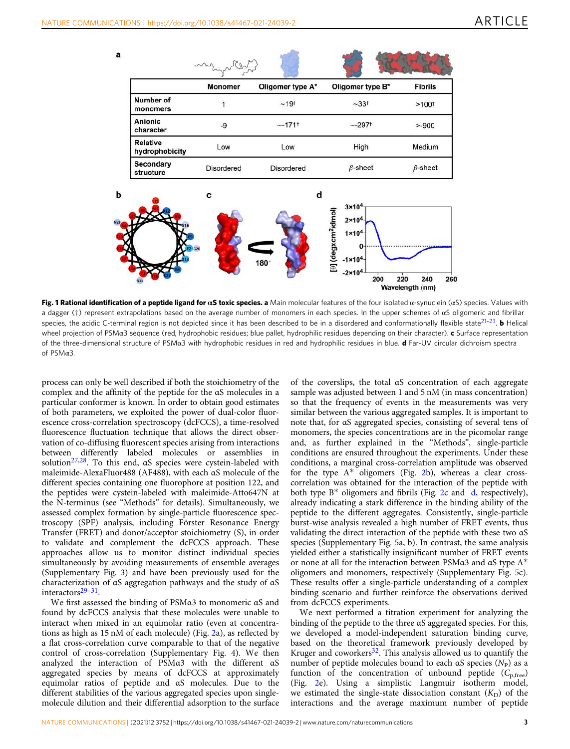<span id="page-2-0"></span>



Fig. 1 Rational identification of a peptide ligand for αS toxic species. a Main molecular features of the four isolated α-synuclein (αS) species. Values with a dagger (†) represent extrapolations based on the average number of monomers in each species. In the upper schemes of αS oligomeric and fibrillar species, the acidic C-terminal region is not depicted since it has been described to be in a disordered and conformationally flexible state<sup>[21](#page-13-0)-23</sup>. **b** Helical wheel projection of PSM $\alpha$ 3 sequence (red, hydrophobic residues; blue pallet, hydrophilic residues depending on their character).  $c$  Surface representation of the three-dimensional structure of PSMα3 with hydrophobic residues in red and hydrophilic residues in blue. d Far-UV circular dichroism spectra of PSMα3.

process can only be well described if both the stoichiometry of the complex and the affinity of the peptide for the αS molecules in a particular conformer is known. In order to obtain good estimates of both parameters, we exploited the power of dual-color fluorescence cross-correlation spectroscopy (dcFCCS), a time-resolved fluorescence fluctuation technique that allows the direct observation of co-diffusing fluorescent species arising from interactions between differently labeled molecules or assemblies in solutio[n27,28](#page-13-0). To this end, αS species were cystein-labeled with maleimide-AlexaFluor488 (AF488), with each αS molecule of the different species containing one fluorophore at position 122, and the peptides were cystein-labeled with maleimide-Atto647N at the N-terminus (see "Methods" for details). Simultaneously, we assessed complex formation by single-particle fluorescence spectroscopy (SPF) analysis, including Förster Resonance Energy Transfer (FRET) and donor/acceptor stoichiometry (S), in order to validate and complement the dcFCCS approach. These approaches allow us to monitor distinct individual species simultaneously by avoiding measurements of ensemble averages (Supplementary Fig. 3) and have been previously used for the characterization of αS aggregation pathways and the study of αS interactors[29](#page-13-0)–[31](#page-13-0).

We first assessed the binding of PSMα3 to monomeric αS and found by dcFCCS analysis that these molecules were unable to interact when mixed in an equimolar ratio (even at concentrations as high as 15 nM of each molecule) (Fig. [2a](#page-3-0)), as reflected by a flat cross-correlation curve comparable to that of the negative control of cross-correlation (Supplementary Fig. 4). We then analyzed the interaction of PSMα3 with the different αS aggregated species by means of dcFCCS at approximately equimolar ratios of peptide and αS molecules. Due to the different stabilities of the various aggregated species upon singlemolecule dilution and their differential adsorption to the surface

of the coverslips, the total αS concentration of each aggregate sample was adjusted between 1 and 5 nM (in mass concentration) so that the frequency of events in the measurements was very similar between the various aggregated samples. It is important to note that, for αS aggregated species, consisting of several tens of monomers, the species concentrations are in the picomolar range and, as further explained in the "Methods", single-particle conditions are ensured throughout the experiments. Under these conditions, a marginal cross-correlation amplitude was observed for the type  $A^*$  oligomers (Fig. [2](#page-3-0)b), whereas a clear crosscorrelation was obtained for the interaction of the peptide with both type B\* oligomers and fibrils (Fig. [2](#page-3-0)c and [d](#page-3-0), respectively), already indicating a stark difference in the binding ability of the peptide to the different aggregates. Consistently, single-particle burst-wise analysis revealed a high number of FRET events, thus validating the direct interaction of the peptide with these two αS species (Supplementary Fig. 5a, b). In contrast, the same analysis yielded either a statistically insignificant number of FRET events or none at all for the interaction between PSMα3 and αS type A\* oligomers and monomers, respectively (Supplementary Fig. 5c). These results offer a single-particle understanding of a complex binding scenario and further reinforce the observations derived from dcFCCS experiments.

We next performed a titration experiment for analyzing the binding of the peptide to the three αS aggregated species. For this, we developed a model-independent saturation binding curve, based on the theoretical framework previously developed by Kruger and coworkers $32$ . This analysis allowed us to quantify the number of peptide molecules bound to each  $\alpha S$  species  $(N_P)$  as a function of the concentration of unbound peptide  $(C_{p,free})$ (Fig. [2e](#page-3-0)). Using a simplistic Langmuir isotherm model, we estimated the single-state dissociation constant  $(K_D)$  of the interactions and the average maximum number of peptide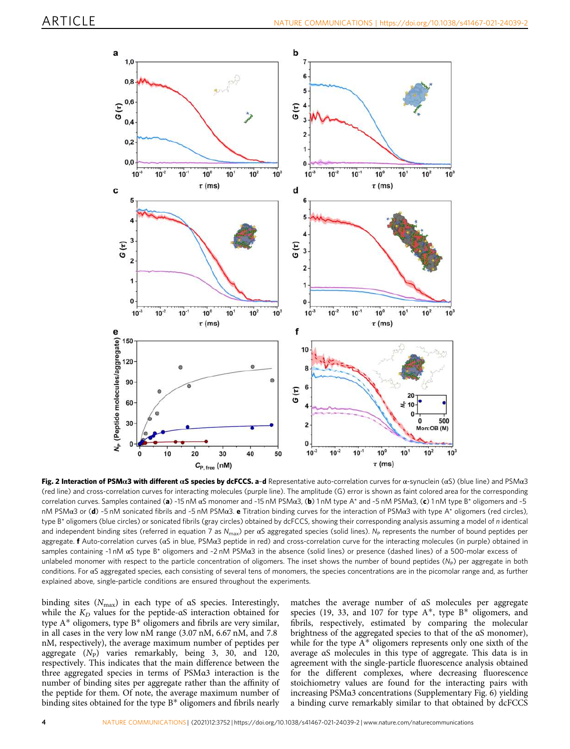<span id="page-3-0"></span>

Fig. 2 Interaction of PSMα3 with different αS species by dcFCCS. a-d Representative auto-correlation curves for α-synuclein (αS) (blue line) and PSMα3 (red line) and cross-correlation curves for interacting molecules (purple line). The amplitude (G) error is shown as faint colored area for the corresponding correlation curves. Samples contained (a) ~15 nM αS monomer and ~15 nM PSMα3, (b) 1 nM type A\* and ~5 nM PSMα3, (c) 1 nM type B\* oligomers and ~5 nM PSMα3 or (d) ~5 nM sonicated fibrils and ~5 nM PSMα3. e Titration binding curves for the interaction of PSMα3 with type A\* oligomers (red circles), type B\* oligomers (blue circles) or sonicated fibrils (gray circles) obtained by dcFCCS, showing their corresponding analysis assuming a model of n identical and independent binding sites (referred in equation 7 as  $N_{\text{max}}$ ) per  $\alpha S$  aggregated species (solid lines). N<sub>P</sub> represents the number of bound peptides per aggregate. f Auto-correlation curves (αS in blue, PSMα3 peptide in red) and cross-correlation curve for the interacting molecules (in purple) obtained in samples containing ~1 nM αS type B\* oligomers and ~2 nM PSMα3 in the absence (solid lines) or presence (dashed lines) of a 500-molar excess of unlabeled monomer with respect to the particle concentration of oligomers. The inset shows the number of bound peptides  $(N_P)$  per aggregate in both conditions. For αS aggregated species, each consisting of several tens of monomers, the species concentrations are in the picomolar range and, as further explained above, single-particle conditions are ensured throughout the experiments.

binding sites  $(N_{\text{max}})$  in each type of aS species. Interestingly, while the  $K_D$  values for the peptide-αS interaction obtained for type A\* oligomers, type B\* oligomers and fibrils are very similar, in all cases in the very low nM range (3.07 nM, 6.67 nM, and 7.8 nM, respectively), the average maximum number of peptides per aggregate  $(N_P)$  varies remarkably, being 3, 30, and 120, respectively. This indicates that the main difference between the three aggregated species in terms of PSMα3 interaction is the number of binding sites per aggregate rather than the affinity of the peptide for them. Of note, the average maximum number of binding sites obtained for the type B\* oligomers and fibrils nearly

matches the average number of αS molecules per aggregate species (19, 33, and 107 for type  $A^*$ , type  $B^*$  oligomers, and fibrils, respectively, estimated by comparing the molecular brightness of the aggregated species to that of the αS monomer), while for the type  $A^*$  oligomers represents only one sixth of the average αS molecules in this type of aggregate. This data is in agreement with the single-particle fluorescence analysis obtained for the different complexes, where decreasing fluorescence stoichiometry values are found for the interacting pairs with increasing PSMα3 concentrations (Supplementary Fig. 6) yielding a binding curve remarkably similar to that obtained by dcFCCS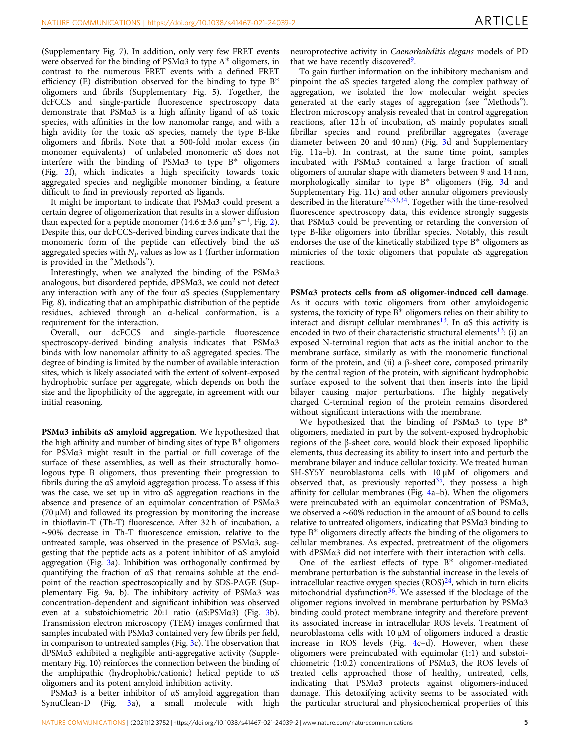(Supplementary Fig. 7). In addition, only very few FRET events were observed for the binding of PSMα3 to type A\* oligomers, in contrast to the numerous FRET events with a defined FRET efficiency (E) distribution observed for the binding to type  $B^*$ oligomers and fibrils (Supplementary Fig. 5). Together, the dcFCCS and single-particle fluorescence spectroscopy data demonstrate that PSMα3 is a high affinity ligand of αS toxic species, with affinities in the low nanomolar range, and with a high avidity for the toxic αS species, namely the type B-like oligomers and fibrils. Note that a 500-fold molar excess (in monomer equivalents) of unlabeled monomeric αS does not interfere with the binding of PSMα3 to type B\* oligomers (Fig. [2](#page-3-0)f), which indicates a high specificity towards toxic aggregated species and negligible monomer binding, a feature difficult to find in previously reported αS ligands.

It might be important to indicate that PSMα3 could present a certain degree of oligomerization that results in a slower diffusion than expected for a peptide monomer  $(14.6 \pm 3.6 \,\mu m^2 s^{-1}$  $(14.6 \pm 3.6 \,\mu m^2 s^{-1}$  $(14.6 \pm 3.6 \,\mu m^2 s^{-1}$ , Fig. 2). Despite this, our dcFCCS-derived binding curves indicate that the monomeric form of the peptide can effectively bind the αS aggregated species with  $N_P$  values as low as 1 (further information is provided in the "Methods").

Interestingly, when we analyzed the binding of the PSMα3 analogous, but disordered peptide, dPSMα3, we could not detect any interaction with any of the four αS species (Supplementary Fig. 8), indicating that an amphipathic distribution of the peptide residues, achieved through an α-helical conformation, is a requirement for the interaction.

Overall, our dcFCCS and single-particle fluorescence spectroscopy-derived binding analysis indicates that PSMα3 binds with low nanomolar affinity to αS aggregated species. The degree of binding is limited by the number of available interaction sites, which is likely associated with the extent of solvent-exposed hydrophobic surface per aggregate, which depends on both the size and the lipophilicity of the aggregate, in agreement with our initial reasoning.

PSMα3 inhibits αS amyloid aggregation. We hypothesized that the high affinity and number of binding sites of type B\* oligomers for PSMα3 might result in the partial or full coverage of the surface of these assemblies, as well as their structurally homologous type B oligomers, thus preventing their progression to fibrils during the αS amyloid aggregation process. To assess if this was the case, we set up in vitro αS aggregation reactions in the absence and presence of an equimolar concentration of PSMα3 (70 μM) and followed its progression by monitoring the increase in thioflavin-T (Th-T) fluorescence. After 32 h of incubation, a ∼90% decrease in Th-T fluorescence emission, relative to the untreated sample, was observed in the presence of PSMα3, suggesting that the peptide acts as a potent inhibitor of αS amyloid aggregation (Fig. [3](#page-5-0)a). Inhibition was orthogonally confirmed by quantifying the fraction of αS that remains soluble at the endpoint of the reaction spectroscopically and by SDS-PAGE (Supplementary Fig. 9a, b). The inhibitory activity of PSMα3 was concentration-dependent and significant inhibition was observed even at a substoichiometric 20:1 ratio (αS:PSMα3) (Fig. [3b](#page-5-0)). Transmission electron microscopy (TEM) images confirmed that samples incubated with PSMα3 contained very few fibrils per field, in comparison to untreated samples (Fig. [3c](#page-5-0)). The observation that dPSMα3 exhibited a negligible anti-aggregative activity (Supplementary Fig. 10) reinforces the connection between the binding of the amphipathic (hydrophobic/cationic) helical peptide to αS oligomers and its potent amyloid inhibition activity.

PSMα3 is a better inhibitor of αS amyloid aggregation than SynuClean-D (Fig. [3](#page-5-0)a), a small molecule with high neuroprotective activity in Caenorhabditis elegans models of PD that we have recently discovered<sup>9</sup>.

To gain further information on the inhibitory mechanism and pinpoint the αS species targeted along the complex pathway of aggregation, we isolated the low molecular weight species generated at the early stages of aggregation (see "Methods"). Electron microscopy analysis revealed that in control aggregation reactions, after 12 h of incubation, αS mainly populates small fibrillar species and round prefibrillar aggregates (average diameter between 20 and 40 nm) (Fig. [3d](#page-5-0) and Supplementary Fig. 11a–b). In contrast, at the same time point, samples incubated with PSMα3 contained a large fraction of small oligomers of annular shape with diameters between 9 and 14 nm, morphologically similar to type B\* oligomers (Fig. [3](#page-5-0)d and Supplementary Fig. 11c) and other annular oligomers previously described in the literature<sup>24,33,34</sup>. Together with the time-resolved fluorescence spectroscopy data, this evidence strongly suggests that PSMα3 could be preventing or retarding the conversion of type B-like oligomers into fibrillar species. Notably, this result endorses the use of the kinetically stabilized type  $B^*$  oligomers as mimicries of the toxic oligomers that populate αS aggregation reactions.

PSMα3 protects cells from αS oligomer-induced cell damage. As it occurs with toxic oligomers from other amyloidogenic systems, the toxicity of type  $B^*$  oligomers relies on their ability to interact and disrupt cellular membranes<sup>13</sup>. In  $\alpha$ S this activity is encoded in two of their characteristic structural elements<sup>[13](#page-12-0)</sup>: (i) an exposed N-terminal region that acts as the initial anchor to the membrane surface, similarly as with the monomeric functional form of the protein, and (ii) a β-sheet core, composed primarily by the central region of the protein, with significant hydrophobic surface exposed to the solvent that then inserts into the lipid bilayer causing major perturbations. The highly negatively charged C-terminal region of the protein remains disordered without significant interactions with the membrane.

We hypothesized that the binding of PSMα3 to type B\* oligomers, mediated in part by the solvent-exposed hydrophobic regions of the β-sheet core, would block their exposed lipophilic elements, thus decreasing its ability to insert into and perturb the membrane bilayer and induce cellular toxicity. We treated human SH-SY5Y neuroblastoma cells with 10 μM of oligomers and observed that, as previously reported $35$ , they possess a high affinity for cellular membranes (Fig. [4a](#page-7-0)–b). When the oligomers were preincubated with an equimolar concentration of PSMα3, we observed a ∼60% reduction in the amount of αS bound to cells relative to untreated oligomers, indicating that PSMα3 binding to type B\* oligomers directly affects the binding of the oligomers to cellular membranes. As expected, pretreatment of the oligomers with dPSMα3 did not interfere with their interaction with cells.

One of the earliest effects of type B\* oligomer-mediated membrane perturbation is the substantial increase in the levels of intracellular reactive oxygen species  $(ROS)^{24}$ , which in turn elicits mitochondrial dysfunction<sup>36</sup>. We assessed if the blockage of the oligomer regions involved in membrane perturbation by PSMα3 binding could protect membrane integrity and therefore prevent its associated increase in intracellular ROS levels. Treatment of neuroblastoma cells with 10 μM of oligomers induced a drastic increase in ROS levels (Fig. [4c](#page-7-0)–d). However, when these oligomers were preincubated with equimolar (1:1) and substoichiometric (1:0.2) concentrations of PSMα3, the ROS levels of treated cells approached those of healthy, untreated, cells, indicating that PSMα3 protects against oligomers-induced damage. This detoxifying activity seems to be associated with the particular structural and physicochemical properties of this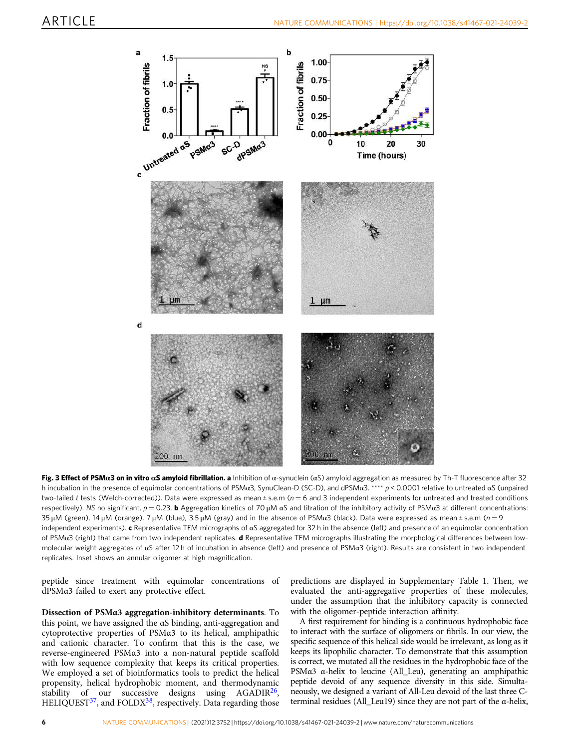<span id="page-5-0"></span>

Fig. 3 Effect of PSMα3 on in vitro αS amyloid fibrillation. a Inhibition of α-synuclein (αS) amyloid aggregation as measured by Th-T fluorescence after 32 h incubation in the presence of equimolar concentrations of PSMα3, SynuClean-D (SC-D), and dPSMα3. \*\*\*\* p < 0.0001 relative to untreated αS (unpaired two-tailed t tests (Welch-corrected)). Data were expressed as mean  $\pm$  s.e.m ( $n = 6$  and 3 independent experiments for untreated and treated conditions respectively). NS no significant,  $p = 0.23$ . b Aggregation kinetics of 70  $\mu$ M  $\alpha$ S and titration of the inhibitory activity of PSM $\alpha$ 3 at different concentrations: 35 μM (green), 14 μM (orange), 7 μM (blue), 3.5 μM (gray) and in the absence of PSMα3 (black). Data were expressed as mean ± s.e.m (n = 9 independent experiments). c Representative TEM micrographs of αS aggregated for 32 h in the absence (left) and presence of an equimolar concentration of PSMα3 (right) that came from two independent replicates. d Representative TEM micrographs illustrating the morphological differences between lowmolecular weight aggregates of αS after 12 h of incubation in absence (left) and presence of PSMα3 (right). Results are consistent in two independent replicates. Inset shows an annular oligomer at high magnification.

peptide since treatment with equimolar concentrations of dPSMα3 failed to exert any protective effect.

Dissection of PSMα3 aggregation-inhibitory determinants. To this point, we have assigned the αS binding, anti-aggregation and cytoprotective properties of PSMα3 to its helical, amphipathic and cationic character. To confirm that this is the case, we reverse-engineered PSMα3 into a non-natural peptide scaffold with low sequence complexity that keeps its critical properties. We employed a set of bioinformatics tools to predict the helical propensity, helical hydrophobic moment, and thermodynamic stability of our successive designs using  $AGADIR<sup>26</sup>$ , HELIQUEST<sup>[37](#page-13-0)</sup>, and FOLDX<sup>38</sup>, respectively. Data regarding those predictions are displayed in Supplementary Table 1. Then, we evaluated the anti-aggregative properties of these molecules, under the assumption that the inhibitory capacity is connected with the oligomer-peptide interaction affinity.

A first requirement for binding is a continuous hydrophobic face to interact with the surface of oligomers or fibrils. In our view, the specific sequence of this helical side would be irrelevant, as long as it keeps its lipophilic character. To demonstrate that this assumption is correct, we mutated all the residues in the hydrophobic face of the PSMα3 α-helix to leucine (All\_Leu), generating an amphipathic peptide devoid of any sequence diversity in this side. Simultaneously, we designed a variant of All-Leu devoid of the last three Cterminal residues (All\_Leu19) since they are not part of the α-helix,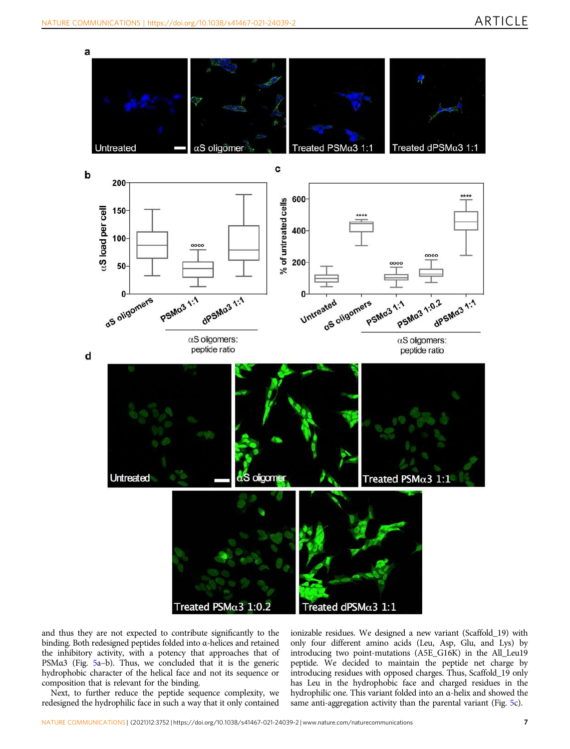

and thus they are not expected to contribute significantly to the binding. Both redesigned peptides folded into α-helices and retained the inhibitory activity, with a potency that approaches that of PSMα3 (Fig. [5](#page-7-0)a–b). Thus, we concluded that it is the generic hydrophobic character of the helical face and not its sequence or composition that is relevant for the binding.

Next, to further reduce the peptide sequence complexity, we redesigned the hydrophilic face in such a way that it only contained ionizable residues. We designed a new variant (Scaffold\_19) with only four different amino acids (Leu, Asp, Glu, and Lys) by introducing two point-mutations (A5E\_G16K) in the All\_Leu19 peptide. We decided to maintain the peptide net charge by introducing residues with opposed charges. Thus, Scaffold\_19 only has Leu in the hydrophobic face and charged residues in the hydrophilic one. This variant folded into an α-helix and showed the same anti-aggregation activity than the parental variant (Fig. [5](#page-7-0)c).

Treated dPSM $\alpha$ 3 1:1

Treated  $PSM\alpha3$  1:0.2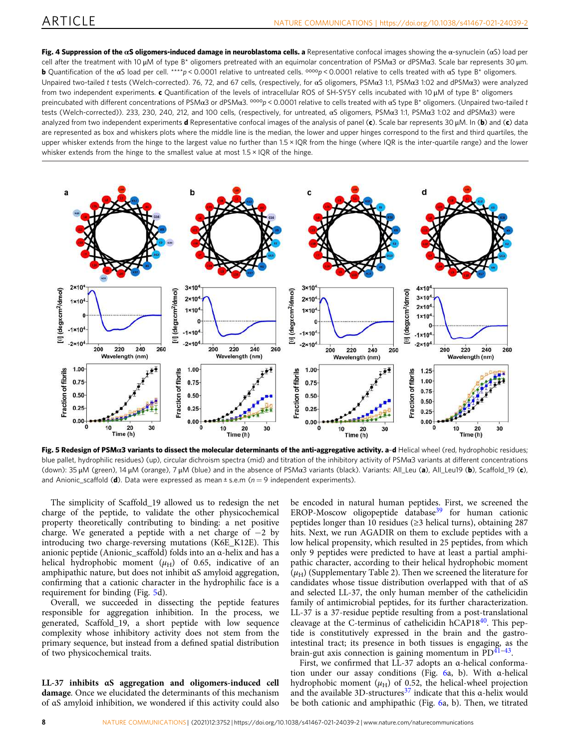<span id="page-7-0"></span>**Fig. 4 Suppression of the αS oligomers-induced damage in neuroblastoma cells. a** Representative confocal images showing the α-synuclein (αS) load per cell after the treatment with 10 μM of type B\* oligomers pretreated with an equimolar concentration of PSMα3 or dPSMα3. Scale bar represents 30 μm. b Quantification of the αS load per cell. \*\*\*\*p < 0.0001 relative to untreated cells. oooop < 0.0001 relative to cells treated with αS type B\* oligomers. Unpaired two-tailed t tests (Welch-corrected). 76, 72, and 67 cells, (respectively, for αS oligomers, PSMα3 1:1, PSMα3 1:02 and dPSMα3) were analyzed from two independent experiments. c Quantification of the levels of intracellular ROS of SH-SY5Y cells incubated with 10 uM of type B<sup>\*</sup> oligomers preincubated with different concentrations of PSMα3 or dPSMα3. <sup>oooo</sup>p < 0.0001 relative to cells treated with αS type B\* oligomers. (Unpaired two-tailed t tests (Welch-corrected)). 233, 230, 240, 212, and 100 cells, (respectively, for untreated, αS oligomers, PSMα3 1:1, PSMα3 1:02 and dPSMα3) were analyzed from two independent experiments **d** Representative confocal images of the analysis of panel (c). Scale bar represents 30  $\mu$ M. In (b) and (c) data are represented as box and whiskers plots where the middle line is the median, the lower and upper hinges correspond to the first and third quartiles, the upper whisker extends from the hinge to the largest value no further than 1.5 × IQR from the hinge (where IQR is the inter-quartile range) and the lower whisker extends from the hinge to the smallest value at most 1.5 × IQR of the hinge.



Fig. 5 Redesign of PSMa3 variants to dissect the molecular determinants of the anti-aggregative activity. a-d Helical wheel (red, hydrophobic residues; blue pallet, hydrophilic residues) (up), circular dichroism spectra (mid) and titration of the inhibitory activity of PSMa3 variants at different concentrations (down): 35 μM (green), 14 μM (orange), 7 μM (blue) and in the absence of PSMα3 variants (black). Variants: All\_Leu (a), All\_Leu19 (b), Scaffold\_19 (c), and Anionic\_scaffold (d). Data were expressed as mean  $\pm$  s.e.m ( $n = 9$  independent experiments).

The simplicity of Scaffold\_19 allowed us to redesign the net charge of the peptide, to validate the other physicochemical property theoretically contributing to binding: a net positive charge. We generated a peptide with a net charge of −2 by introducing two charge-reversing mutations (K6E\_K12E). This anionic peptide (Anionic\_scaffold) folds into an α-helix and has a helical hydrophobic moment  $(\mu_H)$  of 0.65, indicative of an amphipathic nature, but does not inhibit αS amyloid aggregation, confirming that a cationic character in the hydrophilic face is a requirement for binding (Fig. 5d).

Overall, we succeeded in dissecting the peptide features responsible for aggregation inhibition. In the process, we generated, Scaffold\_19, a short peptide with low sequence complexity whose inhibitory activity does not stem from the primary sequence, but instead from a defined spatial distribution of two physicochemical traits.

LL-37 inhibits αS aggregation and oligomers-induced cell damage. Once we elucidated the determinants of this mechanism of αS amyloid inhibition, we wondered if this activity could also be encoded in natural human peptides. First, we screened the EROP-Moscow oligopeptide database<sup>[39](#page-13-0)</sup> for human cationic peptides longer than 10 residues (≥3 helical turns), obtaining 287 hits. Next, we run AGADIR on them to exclude peptides with a low helical propensity, which resulted in 25 peptides, from which only 9 peptides were predicted to have at least a partial amphipathic character, according to their helical hydrophobic moment  $(\mu_H)$  (Supplementary Table 2). Then we screened the literature for candidates whose tissue distribution overlapped with that of αS and selected LL-37, the only human member of the cathelicidin family of antimicrobial peptides, for its further characterization. LL-37 is a 37-residue peptide resulting from a post-translational cleavage at the C-terminus of cathelicidin hCAP18<sup>40</sup>. This peptide is constitutively expressed in the brain and the gastrointestinal tract; its presence in both tissues is engaging, as the brain-gut axis connection is gaining momentum in  $\text{PD}^{\widetilde{41}-43}$  $\text{PD}^{\widetilde{41}-43}$  $\text{PD}^{\widetilde{41}-43}$  $\text{PD}^{\widetilde{41}-43}$  $\text{PD}^{\widetilde{41}-43}$ .

First, we confirmed that LL-37 adopts an α-helical conformation under our assay conditions (Fig. [6](#page-9-0)a, b). With α-helical hydrophobic moment  $(\mu_H)$  of 0.52, the helical-wheel projection and the available 3D-structures<sup>[37](#page-13-0)</sup> indicate that this  $\alpha$ -helix would be both cationic and amphipathic (Fig. [6](#page-9-0)a, b). Then, we titrated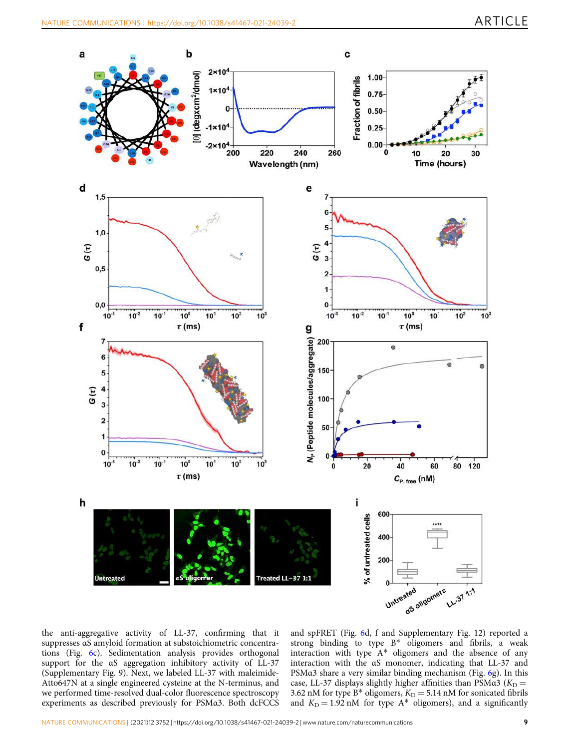

the anti-aggregative activity of LL-37, confirming that it suppresses αS amyloid formation at substoichiometric concentrations (Fig. [6](#page-9-0)c). Sedimentation analysis provides orthogonal support for the αS aggregation inhibitory activity of LL-37 (Supplementary Fig. 9). Next, we labeled LL-37 with maleimide-Atto647N at a single engineered cysteine at the N-terminus, and we performed time-resolved dual-color fluorescence spectroscopy experiments as described previously for PSMα3. Both dcFCCS

and spFRET (Fig. [6](#page-9-0)d, f and Supplementary Fig. 12) reported a strong binding to type B\* oligomers and fibrils, a weak interaction with type A\* oligomers and the absence of any interaction with the αS monomer, indicating that LL-37 and PSMα3 share a very similar binding mechanism (Fig. [6](#page-9-0)g). In this case, LL-37 displays slightly higher affinities than PSM $\alpha$ 3 (K<sub>D</sub> = 3.62 nM for type B\* oligomers,  $K_D = 5.14$  nM for sonicated fibrils and  $K<sub>D</sub> = 1.92$  nM for type  $A^*$  oligomers), and a significantly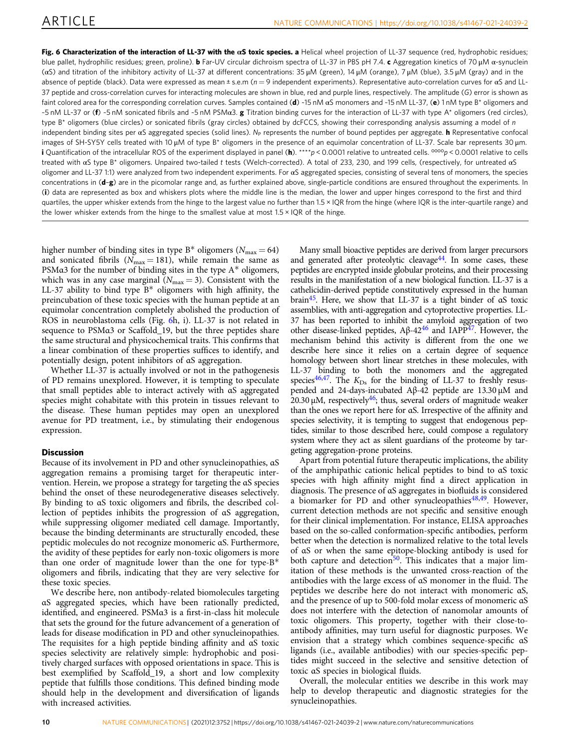<span id="page-9-0"></span>Fig. 6 Characterization of the interaction of LL-37 with the  $\alpha S$  toxic species. a Helical wheel projection of LL-37 sequence (red, hydrophobic residues; blue pallet, hydrophilic residues; green, proline). b Far-UV circular dichroism spectra of LL-37 in PBS pH 7.4. c Aggregation kinetics of 70 μM α-synuclein (αS) and titration of the inhibitory activity of LL-37 at different concentrations: 35 μM (green), 14 μM (orange), 7 μM (blue), 3.5 μM (gray) and in the absence of peptide (black). Data were expressed as mean  $\pm$  s.e.m ( $n = 9$  independent experiments). Representative auto-correlation curves for  $\alpha$ S and LL-37 peptide and cross-correlation curves for interacting molecules are shown in blue, red and purple lines, respectively. The amplitude (G) error is shown as faint colored area for the corresponding correlation curves. Samples contained (d) ~15 nM  $\alpha$ S monomers and ~15 nM LL-37, (e) 1 nM type B\* oligomers and ~5 nM LL-37 or (f) ~5 nM sonicated fibrils and ~5 nM PSMα3. g Titration binding curves for the interaction of LL-37 with type A\* oligomers (red circles), type B<sup>\*</sup> oligomers (blue circles) or sonicated fibrils (gray circles) obtained by dcFCCS, showing their corresponding analysis assuming a model of n independent binding sites per  $\alpha S$  aggregated species (solid lines). N<sub>P</sub> represents the number of bound peptides per aggregate. **h** Representative confocal images of SH-SY5Y cells treated with 10 μM of type B\* oligomers in the presence of an equimolar concentration of LL-37. Scale bar represents 30 μm. **i** Quantification of the intracellular ROS of the experiment displayed in panel (h). \*\*\*\*p < 0.0001 relative to untreated cells.  $0000p$  < 0.0001 relative to cells treated with αS type B\* oligomers. Unpaired two-tailed t tests (Welch-corrected). A total of 233, 230, and 199 cells, (respectively, for untreated αS oligomer and LL-37 1:1) were analyzed from two independent experiments. For αS aggregated species, consisting of several tens of monomers, the species concentrations in (d-g) are in the picomolar range and, as further explained above, single-particle conditions are ensured throughout the experiments. In (i) data are represented as box and whiskers plots where the middle line is the median, the lower and upper hinges correspond to the first and third quartiles, the upper whisker extends from the hinge to the largest value no further than 1.5 × IQR from the hinge (where IQR is the inter-quartile range) and the lower whisker extends from the hinge to the smallest value at most  $1.5 \times IQR$  of the hinge.

higher number of binding sites in type  $B^*$  oligomers ( $N_{\text{max}} = 64$ ) and sonicated fibrils ( $N_{\text{max}} = 181$ ), while remain the same as PSMα3 for the number of binding sites in the type A\* oligomers, which was in any case marginal  $(N_{\text{max}} = 3)$ . Consistent with the LL-37 ability to bind type  $B^*$  oligomers with high affinity, the preincubation of these toxic species with the human peptide at an equimolar concentration completely abolished the production of ROS in neuroblastoma cells (Fig. 6h, i). LL-37 is not related in sequence to PSMα3 or Scaffold\_19, but the three peptides share the same structural and physicochemical traits. This confirms that a linear combination of these properties suffices to identify, and potentially design, potent inhibitors of αS aggregation.

Whether LL-37 is actually involved or not in the pathogenesis of PD remains unexplored. However, it is tempting to speculate that small peptides able to interact actively with αS aggregated species might cohabitate with this protein in tissues relevant to the disease. These human peptides may open an unexplored avenue for PD treatment, i.e., by stimulating their endogenous expression.

## **Discussion**

Because of its involvement in PD and other synucleinopathies, αS aggregation remains a promising target for therapeutic intervention. Herein, we propose a strategy for targeting the αS species behind the onset of these neurodegenerative diseases selectively. By binding to αS toxic oligomers and fibrils, the described collection of peptides inhibits the progression of αS aggregation, while suppressing oligomer mediated cell damage. Importantly, because the binding determinants are structurally encoded, these peptidic molecules do not recognize monomeric αS. Furthermore, the avidity of these peptides for early non-toxic oligomers is more than one order of magnitude lower than the one for type- $B^*$ oligomers and fibrils, indicating that they are very selective for these toxic species.

We describe here, non antibody-related biomolecules targeting αS aggregated species, which have been rationally predicted, identified, and engineered. PSMα3 is a first-in-class hit molecule that sets the ground for the future advancement of a generation of leads for disease modification in PD and other synucleinopathies. The requisites for a high peptide binding affinity and αS toxic species selectivity are relatively simple: hydrophobic and positively charged surfaces with opposed orientations in space. This is best exemplified by Scaffold\_19, a short and low complexity peptide that fulfills those conditions. This defined binding mode should help in the development and diversification of ligands with increased activities.

Many small bioactive peptides are derived from larger precursors and generated after proteolytic cleavage $44$ . In some cases, these peptides are encrypted inside globular proteins, and their processing results in the manifestation of a new biological function. LL-37 is a cathelicidin-derived peptide constitutively expressed in the human brain[45.](#page-13-0) Here, we show that LL-37 is a tight binder of αS toxic assemblies, with anti-aggregation and cytoprotective properties. LL-37 has been reported to inhibit the amyloid aggregation of two other disease-linked peptides,  $Aβ-42<sup>46</sup>$  $Aβ-42<sup>46</sup>$  $Aβ-42<sup>46</sup>$  and IAPP<sup>47</sup>. However, the mechanism behind this activity is different from the one we describe here since it relies on a certain degree of sequence homology between short linear stretches in these molecules, with LL-37 binding to both the monomers and the aggregated species<sup>[46,47](#page-13-0)</sup>. The  $K_{\text{Ds}}$  for the binding of LL-37 to freshly resuspended and 24-days-incubated Aβ-42 peptide are 13.30 μM and  $20.30 \mu$ M, respectively<sup>46</sup>; thus, several orders of magnitude weaker than the ones we report here for αS. Irrespective of the affinity and species selectivity, it is tempting to suggest that endogenous peptides, similar to those described here, could compose a regulatory system where they act as silent guardians of the proteome by targeting aggregation-prone proteins.

Apart from potential future therapeutic implications, the ability of the amphipathic cationic helical peptides to bind to αS toxic species with high affinity might find a direct application in diagnosis. The presence of αS aggregates in biofluids is considered a biomarker for PD and other synucleopathies $48,49$ . However, current detection methods are not specific and sensitive enough for their clinical implementation. For instance, ELISA approaches based on the so-called conformation-specific antibodies, perform better when the detection is normalized relative to the total levels of αS or when the same epitope-blocking antibody is used for both capture and detection<sup>50</sup>. This indicates that a major limitation of these methods is the unwanted cross-reaction of the antibodies with the large excess of αS monomer in the fluid. The peptides we describe here do not interact with monomeric αS, and the presence of up to 500-fold molar excess of monomeric αS does not interfere with the detection of nanomolar amounts of toxic oligomers. This property, together with their close-toantibody affinities, may turn useful for diagnostic purposes. We envision that a strategy which combines sequence-specific αS ligands (i.e., available antibodies) with our species-specific peptides might succeed in the selective and sensitive detection of toxic αS species in biological fluids.

Overall, the molecular entities we describe in this work may help to develop therapeutic and diagnostic strategies for the synucleinopathies.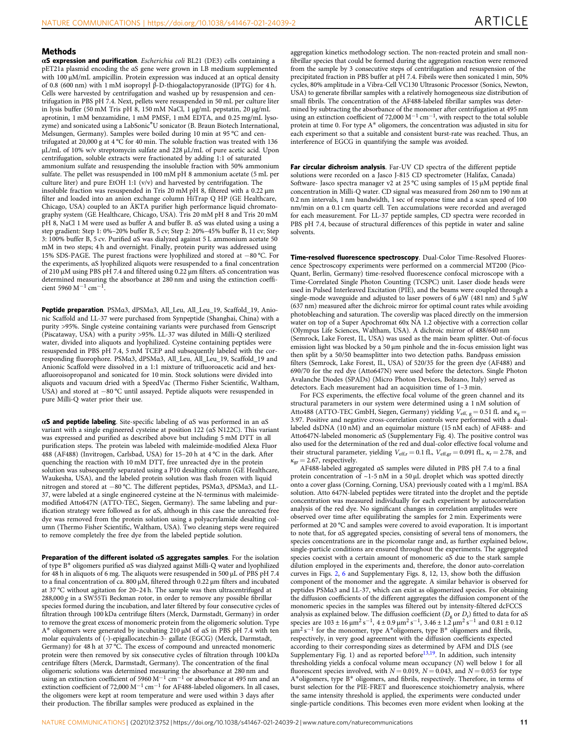#### **Methods**

 $\alpha$ S expression and purification. Escherichia coli BL21 (DE3) cells containing a pET21a plasmid encoding the αS gene were grown in LB medium supplemented with 100 μM/mL ampicillin. Protein expression was induced at an optical density of 0.8 (600 nm) with 1 mM isopropyl β-D-thiogalactopyranoside (IPTG) for 4 h. Cells were harvested by centrifugation and washed up by resuspension and centrifugation in PBS pH 7.4. Next, pellets were resuspended in 50 mL per culture liter in lysis buffer (50 mM Tris pH 8, 150 mM NaCl, 1 μg/mL pepstatin, 20 μg/mL aprotinin, 1 mM benzamidine, 1 mM PMSF, 1 mM EDTA, and 0.25 mg/mL lysozyme) and sonicated using a LabSonic®U sonicator (B. Braun Biotech International, Melsungen, Germany). Samples were boiled during 10 min at 95 °C and centrifugated at 20,000 g at 4 °C for 40 min. The soluble fraction was treated with 136 μL/mL of 10% w/v streptomycin sulfate and 228 μL/mL of pure acetic acid. Upon centrifugation, soluble extracts were fractionated by adding 1:1 of saturated ammonium sulfate and resuspending the insoluble fraction with 50% ammonium sulfate. The pellet was resuspended in 100 mM pH 8 ammonium acetate (5 mL per culture liter) and pure EtOH 1:1 (v/v) and harvested by centrifugation. The insoluble fraction was resuspended in Tris 20 mM pH 8, filtered with a 0.22 μm filter and loaded into an anion exchange column HiTrap Q HP (GE Healthcare, Chicago, USA) coupled to an ÄKTA purifier high performance liquid chromatography system (GE Healthcare, Chicago, USA). Tris 20 mM pH 8 and Tris 20 mM pH 8, NaCl 1 M were used as buffer A and buffer B. αS was eluted using a using a step gradient: Step 1: 0%–20% buffer B, 5 cv; Step 2: 20%–45% buffer B, 11 cv; Step 3: 100% buffer B, 5 cv. Purified αS was dialyzed against 5 L ammonium acetate 50 mM in two steps; 4 h and overnight. Finally, protein purity was addressed using 15% SDS-PAGE. The purest fractions were lyophilized and stored at −80 °C. For the experiments, αS lyophilized aliquots were resuspended to a final concentration of 210 μM using PBS pH 7.4 and filtered using 0.22 μm filters. αS concentration was determined measuring the absorbance at 280 nm and using the extinction coefficient 5960 M−<sup>1</sup> cm<sup>−</sup>1.

Peptide preparation. PSMα3, dPSMα3, All\_Leu, All\_Leu\_19, Scaffold\_19, Anionic Scaffold and LL-37 were purchased from Synpeptide (Shanghai, China) with a purity >95%. Single cysteine containing variants were purchased from Genscript (Piscataway, USA) with a purity >95%. LL-37 was diluted in Milli-Q sterilized water, divided into aliquots and lyophilized. Cysteine containing peptides were resuspended in PBS pH 7.4, 5 mM TCEP and subsequently labeled with the corresponding fluorophore. PSMα3, dPSMα3, All\_Leu, All\_Leu\_19, Scaffold\_19 and Anionic Scaffold were dissolved in a 1:1 mixture of trifluoroacetic acid and hexafluoroisopropanol and sonicated for 10 min. Stock solutions were divided into aliquots and vacuum dried with a SpeedVac (Thermo Fisher Scientific, Waltham, USA) and stored at −80 °C until assayed. Peptide aliquots were resuspended in pure Milli-Q water prior their use.

αS and peptide labeling. Site-specific labeling of  $αS$  was performed in an  $αS$ variant with a single engineered cysteine at position 122 ( $\alpha$ S N122C). This variant was expressed and purified as described above but including 5 mM DTT in all purification steps. The protein was labeled with maleimide-modified Alexa Fluor 488 (AF488) (Invitrogen, Carlsbad, USA) for 15–20 h at 4 °C in the dark. After quenching the reaction with 10 mM DTT, free unreacted dye in the protein solution was subsequently separated using a P10 desalting column (GE Healthcare, Waukesha, USA), and the labeled protein solution was flash frozen with liquid nitrogen and stored at −80 °C. The different peptides, PSMα3, dPSMα3, and LL-37, were labeled at a single engineered cysteine at the N-terminus with maleimidemodified Atto647N (ATTO-TEC, Siegen, Germany). The same labeling and purification strategy were followed as for αS, although in this case the unreacted free dye was removed from the protein solution using a polyacrylamide desalting column (Thermo Fisher Scientific, Waltham, USA). Two cleaning steps were required to remove completely the free dye from the labeled peptide solution.

Preparation of the different isolated  $\alpha S$  aggregates samples. For the isolation of type B\* oligomers purified αS was dialyzed against Milli-Q water and lyophilized for 48 h in aliquots of 6 mg. The aliquots were resuspended in 500 μL of PBS pH 7.4 to a final concentration of ca. 800 μM, filtered through 0.22 μm filters and incubated at 37 °C without agitation for 20–24 h. The sample was then ultracentrifuged at  $288,000 g$  in a SW55Ti Beckman rotor, in order to remove any possible fibrillar species formed during the incubation, and later filtered by four consecutive cycles of filtration through 100 kDa centrifuge filters (Merck, Darmstadt, Germany) in order to remove the great excess of monomeric protein from the oligomeric solution. Type A\* oligomers were generated by incubating 210 μM of αS in PBS pH 7.4 with ten molar equivalents of (-)-epigallocatechin-3- gallate (EGCG) (Merck, Darmstadt, Germany) for 48 h at 37 °C. The excess of compound and unreacted monomeric protein were then removed by six consecutive cycles of filtration through 100 kDa centrifuge filters (Merck, Darmstadt, Germany). The concentration of the final oligomeric solutions was determined measuring the absorbance at 280 nm and<br>using an extinction coefficient of 5960 M<sup>−1</sup> cm<sup>−1</sup> or absorbance at 495 nm and an extinction coefficient of 72,000 M<sup>-1</sup> cm<sup>-1</sup> for AF488-labeled oligomers. In all cases, the oligomers were kept at room temperature and were used within 3 days after their production. The fibrillar samples were produced as explained in the

aggregation kinetics methodology section. The non-reacted protein and small nonfibrillar species that could be formed during the aggregation reaction were removed from the sample by 3 consecutive steps of centrifugation and resuspension of the precipitated fraction in PBS buffer at pH 7.4. Fibrils were then sonicated 1 min, 50% cycles, 80% amplitude in a Vibra-Cell VC130 Ultrasonic Processor (Sonics, Newton, USA) to generate fibrillar samples with a relatively homogeneous size distribution of small fibrils. The concentration of the AF488-labeled fibrillar samples was determined by subtracting the absorbance of the monomer after centrifugation at 495 nm using an extinction coefficient of 72,000 M<sup>-1</sup> cm<sup>-1</sup>, with respect to the total soluble protein at time 0. For type A\* oligomers, the concentration was adjusted in situ for each experiment so that a suitable and consistent burst-rate was reached. Thus, an interference of EGCG in quantifying the sample was avoided.

Far circular dichroism analysis. Far-UV CD spectra of the different peptide solutions were recorded on a Jasco J-815 CD spectrometer (Halifax, Canada) Software- Jasco spectra manager v2 at 25 °C using samples of 15 μM peptide final concentration in Milli-Q water. CD signal was measured from 260 nm to 190 nm at 0.2 nm intervals, 1 nm bandwidth, 1 sec of response time and a scan speed of 100 nm/min on a 0.1 cm quartz cell. Ten accumulations were recorded and averaged for each measurement. For LL-37 peptide samples, CD spectra were recorded in PBS pH 7.4, because of structural differences of this peptide in water and saline solvents.

Time-resolved fluorescence spectroscopy. Dual-Color Time-Resolved Fluorescence Spectroscopy experiments were performed on a commercial MT200 (Pico-Quant, Berlin, Germany) time-resolved fluorescence confocal microscope with a Time-Correlated Single Photon Counting (TCSPC) unit. Laser diode heads were used in Pulsed Interleaved Excitation (PIE), and the beams were coupled through a single-mode waveguide and adjusted to laser powers of 6  $\mu$ W (481 nm) and 5  $\mu$ W (637 nm) measured after the dichroic mirror for optimal count rates while avoiding photobleaching and saturation. The coverslip was placed directly on the immersion water on top of a Super Apochromat 60x NA 1.2 objective with a correction collar (Olympus Life Sciences, Waltham, USA). A dichroic mirror of 488/640 nm (Semrock, Lake Forest, IL, USA) was used as the main beam splitter. Out-of-focus emission light was blocked by a 50 µm pinhole and the in-focus emission light was then split by a 50/50 beamsplitter into two detection paths. Bandpass emission filters (Semrock, Lake Forest, IL, USA) of 520/35 for the green dye (AF488) and 690/70 for the red dye (Atto647N) were used before the detectors. Single Photon Avalanche Diodes (SPADs) (Micro Photon Devices, Bolzano, Italy) served as detectors. Each measurement had an acquisition time of 1–3 min.

For FCS experiments, the effective focal volume of the green channel and its structural parameters in our system were determined using a 1 nM solution of Atto488 (ATTO-TEC GmbH, Siegen, Germany) yielding  $V_{\text{eff, g}} = 0.51 \text{ ft}$  and  $\kappa_{\text{g}} = 3.97$ . Positive and negative cross-correlation controls were performed with a duallabeled dsDNA (10 nM) and an equimolar mixture (15 nM each) of AF488- and Atto647N-labeled monomeric αS (Supplementary Fig. 4). The positive control was also used for the determination of the red and dual-color effective focal volume and their structural parameter, yielding  $V_{\text{eff,r}} = 0.1 \text{ fL}$ ,  $V_{\text{eff,gr}} = 0.091 \text{ fL}$ ,  $\kappa_r = 2.78$ , and  $\kappa_{\rm gr}$   $=$  2.67, respectively.

AF488-labeled aggregated αS samples were diluted in PBS pH 7.4 to a final protein concentration of  $\sim$ 1-5 nM in a 50 µL droplet which was spotted directly onto a cover glass (Corning, Corning, USA) previously coated with a 1 mg/mL BSA solution. Atto 647N-labeled peptides were titrated into the droplet and the peptide concentration was measured individually for each experiment by autocorrelation analysis of the red dye. No significant changes in correlation amplitudes were observed over time after equilibrating the samples for 2 min. Experiments were performed at 20 °C and samples were covered to avoid evaporation. It is important to note that, for αS aggregated species, consisting of several tens of monomers, the species concentrations are in the picomolar range and, as further explained below, single-particle conditions are ensured throughout the experiments. The aggregated species coexist with a certain amount of monomeric αS due to the stark sample dilution employed in the experiments and, therefore, the donor auto-correlation curves in Figs. [2](#page-3-0), [6](#page-9-0) and Supplementary Figs. 8, 12, 13, show both the diffusion component of the monomer and the aggregate. A similar behavior is observed for peptides PSMα3 and LL-37, which can exist as oligomerized species. For obtaining the diffusion coefficients of the different aggregates the diffusion component of the monomeric species in the samples was filtered out by intensity-filtered dcFCCS analysis as explained below. The diffusion coefficient  $(D_g$  or  $D_r$ ) fitted to data for  $\alpha S$ species are  $103 \pm 16$   $\mu$ m<sup>2</sup> s<sup>-1</sup>, 4 ± 0.9  $\mu$ m<sup>2</sup> s<sup>-1</sup>, 3.46 ± 1.2  $\mu$ m<sup>2</sup> s<sup>-1</sup> and 0.81 ± 0.12 µm<sup>2</sup> s−<sup>1</sup> for the monomer, type A\*oligomers, type B\* oligomers and fibrils, respectively, in very good agreement with the diffusion coefficients expected according to their corresponding sizes as determined by AFM and DLS (see Supplementary Fig. 1) and as reported before<sup>[13,](#page-12-0)19</sup>. In addition, such intensity thresholding yields a confocal volume mean occupancy (N) well below 1 for all fluorescent species involved, with  $N = 0.019$ ,  $N = 0.043$ , and  $N = 0.053$  for type A\*oligomers, type B\* oligomers, and fibrils, respectively. Therefore, in terms of burst selection for the PIE-FRET and fluorescence stoichiometry analysis, where the same intensity threshold is applied, the experiments were conducted under single-particle conditions. This becomes even more evident when looking at the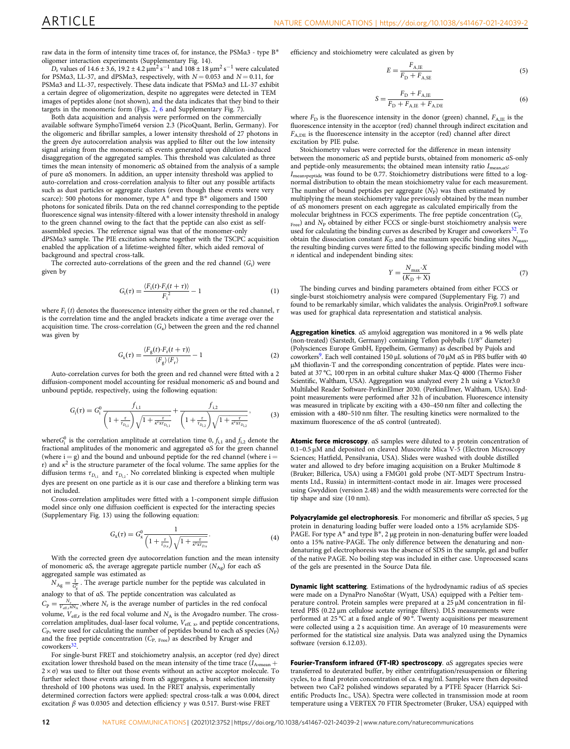raw data in the form of intensity time traces of, for instance, the PSMα3 - type B\* oligomer interaction experiments (Supplementary Fig. 14).

D<sub>r</sub> values of 14.6 ± 3.6, 19.2 ± 4.2  $\mu$ m<sup>2</sup> s<sup>-1</sup> and 108 ± 18  $\mu$ m<sup>2</sup> s<sup>-1</sup> were calculated for PSMa3, LL-37, and dPSMa3, respectively, with  $N = 0.053$  and  $N = 0.11$ , for PSMα3 and LL-37, respectively. These data indicate that PSMα3 and LL-37 exhibit a certain degree of oligomerization, despite no aggregates were detected in TEM images of peptides alone (not shown), and the data indicates that they bind to their targets in the monomeric form (Figs. [2,](#page-3-0) [6](#page-9-0) and Supplementary Fig. 7).

Both data acquisition and analysis were performed on the commercially available software SymphoTime64 version 2.3 (PicoQuant, Berlin, Germany). For the oligomeric and fibrillar samples, a lower intensity threshold of 27 photons in the green dye autocorrelation analysis was applied to filter out the low intensity signal arising from the monomeric αS events generated upon dilution-induced disaggregation of the aggregated samples. This threshold was calculated as three times the mean intensity of monomeric αS obtained from the analysis of a sample of pure αS monomers. In addition, an upper intensity threshold was applied to auto-correlation and cross-correlation analysis to filter out any possible artifacts such as dust particles or aggregate clusters (even though these events were very scarce): 500 photons for monomer, type  $A^*$  and type  $B^*$  oligomers and 1500 photons for sonicated fibrils. Data on the red channel corresponding to the peptide fluorescence signal was intensity-filtered with a lower intensity threshold in analogy to the green channel owing to the fact that the peptide can also exist as selfassembled species. The reference signal was that of the monomer-only dPSMα3 sample. The PIE excitation scheme together with the TSCPC acquisition enabled the application of a lifetime-weighted filter, which aided removal of background and spectral cross-talk.

The corrected auto-correlations of the green and the red channel  $(G<sub>i</sub>)$  were given by

$$
G_{\rm i}(\tau) = \frac{\langle F_{\rm i}(t) \cdot F_{\rm i}(t+\tau) \rangle}{F_{\rm i}^2} - 1 \tag{1}
$$

where  $F_i(t)$  denotes the fluorescence intensity either the green or the red channel,  $\tau$ is the correlation time and the angled brackets indicate a time average over the acquisition time. The cross-correlation  $(G_x)$  between the green and the red channel was given by

$$
G_{\rm x}(\tau) = \frac{\langle F_{\rm g}(t) \cdot F_{\rm r}(t+\tau) \rangle}{\langle F_{\rm g} \rangle \langle F_{\rm r} \rangle} - 1 \tag{2}
$$

Auto-correlation curves for both the green and red channel were fitted with a 2 diffusion-component model accounting for residual monomeric αS and bound and unbound peptide, respectively, using the following equation:

$$
G_{\rm i}(\tau) = G_{\rm i}^0 \frac{f_{\rm i,1}}{\left(1 + \frac{\tau}{\tau_{D_{\rm i,1}}}\right)\sqrt{1 + \frac{\tau}{\kappa^2 \text{xt}_{D_{\rm i,1}}}}} + \frac{f_{\rm i,2}}{\left(1 + \frac{\tau}{\tau_{D_{\rm i,2}}}\right)\sqrt{1 + \frac{\tau}{\kappa^2 \text{xt}_{D_{\rm i,2}}}}},\tag{3}
$$

where  $G_i^0$  is the correlation amplitude at correlation time 0,  $f_{i,1}$  and  $f_{i,2}$  denote the fractional amplitudes of the monomeric and aggregated αS for the green channel (where  $i = g$ ) and the bound and unbound peptide for the red channel (where  $i =$ r) and  $\kappa^2$  is the structure parameter of the focal volume. The same applies for the diffusion terms  $\tau_{D_{l,1}}$  and  $\tau_{D_{l,2}}$ . No correlated blinking is expected when multiple dyes are present on one particle as it is our case and therefore a blinking term was not included.

Cross-correlation amplitudes were fitted with a 1-component simple diffusion model since only one diffusion coefficient is expected for the interacting species (Supplementary Fig. 13) using the following equation:

$$
G_{x}(\tau) = G_{x}^{0} \frac{1}{\left(1 + \frac{\tau}{\tau_{D,x}}\right)\sqrt{1 + \frac{\tau}{\kappa^{2}\mathbf{x}\tau_{D,x}}}}.
$$
(4)

With the corrected green dye autocorrelation function and the mean intensity of monomeric αS, the average aggregate particle number  $(N<sub>Ag</sub>)$  for each αS aggregated sample was estimated as

 $N_{\text{Ag}} = \frac{1}{G_g^0}$ . The average particle number for the peptide was calculated in analogy to that of αS. The peptide concentration was calculated as

 $C_{\rm p} = \frac{N_{\rm r}}{V_{\rm eff,r} \rm xN_A}$ , where  $N_{\rm r}$  is the average number of particles in the red confocal volume,  $V_{\text{eff},r}$  is the red focal volume and  $N_A$  is the Avogadro number. The crosscorrelation amplitudes, dual-laser focal volume,  $V_{\rm eff,~x}$  and peptide concentrations,  $C_{\rm P}$ , were used for calculating the number of peptides bound to each αS species ( $N_{\rm P}$ ) and the free peptide concentration  $(C_{P, \text{Free}})$  as described by Kruger and coworkers<sup>32</sup>

For single-burst FRET and stoichiometry analysis, an acceptor (red dye) direct excitation lower threshold based on the mean intensity of the time trace  $(I_{\text{A}_{\text{D}_{\text{mean}}}} + I_{\text{A}_{\text{D}_{\text{mean}}}})$  $2 \times \sigma$ ) was used to filter out those events without an active acceptor molecule. To further select those events arising from αS aggregates, a burst selection intensity threshold of 100 photons was used. In the FRET analysis, experimentally determined correction factors were applied: spectral cross-talk α was 0.004, direct excitation  $β$  was 0.0305 and detection efficiency  $γ$  was 0.517. Burst-wise FRET

efficiency and stoichiometry were calculated as given by

$$
E = \frac{F_{\text{A,IE}}}{F_{\text{D}} + F_{\text{A,SE}}} \tag{5}
$$

$$
S = \frac{F_{\rm D} + F_{\rm A,IE}}{F_{\rm D} + F_{\rm A,IE} + F_{\rm A,DE}}
$$
(6)

where  $F_{\text{D}}$  is the fluorescence intensity in the donor (green) channel,  $F_{\text{A IF}}$  is the fluorescence intensity in the acceptor (red) channel through indirect excitation and FA,DE is the fluorescence intensity in the acceptor (red) channel after direct excitation by PIE pulse.

Stoichiometry values were corrected for the difference in mean intensity between the monomeric αS and peptide bursts, obtained from monomeric αS-only and peptide-only measurements; the obtained mean intensity ratio  $I_{\text{mean},aS}$  $I_{\rm{mean}}$  was found to be 0.77. Stoichiometry distributions were fitted to a log-normal distribution to obtain the mean stoichiometry value for each measurement. The number of bound peptides per aggregate  $(N_P)$  was then estimated by multiplying the mean stoichiometry value previously obtained by the mean number of αS monomers present on each aggregate as calculated empirically from the molecular brightness in FCCS experiments. The free peptide concentration  $(C_{P}$ ,  $_{\text{Free}}$ ) and  $N_{\text{P}}$  obtained by either FCCS or single-burst stoichiometry analysis were used for calculating the binding curves as described by Kruger and coworkers<sup>32</sup>. To obtain the dissociation constant  $K_D$  and the maximum specific binding sites  $N_{\text{max}}$ the resulting binding curves were fitted to the following specific binding model with  $n$  identical and independent binding sites:

$$
Y = \frac{N_{\text{max}} \cdot X}{(K_{\text{D}} + X)}\tag{7}
$$

The binding curves and binding parameters obtained from either FCCS or single-burst stoichiometry analysis were compared (Supplementary Fig. 7) and found to be remarkably similar, which validates the analysis. OriginPro9.1 software was used for graphical data representation and statistical analysis.

Aggregation kinetics. αS amyloid aggregation was monitored in a 96 wells plate (non-treated) (Sarstedt, Germany) containing Teflon polyballs (1/8′′ diameter) (Polysciences Europe GmbH, Eppelheim, Germany) as described by Pujols and coworker[s9](#page-12-0). Each well contained 150 μL solutions of 70 μM αS in PBS buffer with 40 μM thioflavin-T and the corresponding concentration of peptide. Plates were incubated at 37 °C, 100 rpm in an orbital culture shaker Max-Q 4000 (Thermo Fisher Scientific, Waltham, USA). Aggregation was analyzed every 2 h using a Victor3.0 Multilabel Reader Software-PerkinElmer 2030. (PerkinElmer, Waltham, USA). Endpoint measurements were performed after 32 h of incubation. Fluorescence intensity was measured in triplicate by exciting with a 430–450 nm filter and collecting the emission with a 480–510 nm filter. The resulting kinetics were normalized to the maximum fluorescence of the αS control (untreated).

Atomic force microscopy. αS samples were diluted to a protein concentration of 0.1–0.5 µM and deposited on cleaved Muscovite Mica V-5 (Electron Microscopy Sciences; Hatfield, Pensilvania, USA). Slides were washed with double distilled water and allowed to dry before imaging acquisition on a Bruker Multimode 8 (Bruker; Billerica, USA) using a FMG01 gold probe (NT-MDT Spectrum Instruments Ltd., Russia) in intermittent-contact mode in air. Images were processed using Gwyddion (version 2.48) and the width measurements were corrected for the tip shape and size (10 nm).

Polyacrylamide gel electrophoresis. For monomeric and fibrillar αS species, 5 μg protein in denaturing loading buffer were loaded onto a 15% acrylamide SDS-PAGE. For type  $A^*$  and type  $\overline{B}^*$ , 2 µg protein in non-denaturing buffer were loaded onto a 15% native-PAGE. The only difference between the denaturing and nondenaturing gel electrophoresis was the absence of SDS in the sample, gel and buffer of the native PAGE. No boiling step was included in either case. Unprocessed scans of the gels are presented in the Source Data file.

Dynamic light scattering. Estimations of the hydrodynamic radius of αS species were made on a DynaPro NanoStar (Wyatt, USA) equipped with a Peltier temperature control. Protein samples were prepared at a 25 µM concentration in filtered PBS (0.22 μm cellulose acetate syringe filters). DLS measurements were performed at 25 °C at a fixed angle of 90 °. Twenty acquisitions per measurement were collected using a 2 s acquisition time. An average of 10 measurements were performed for the statistical size analysis. Data was analyzed using the Dynamics software (version 6.12.03).

Fourier-Transform infrared (FT-IR) spectroscopy. αS aggregates species were transferred to deuterated buffer, by either centrifugation/resuspension or filtering cycles, to a final protein concentration of ca. 4 mg/ml. Samples were then deposited between two CaF2 polished windows separated by a PTFE Spacer (Harrick Scientific Products Inc., USA). Spectra were collected in transmission mode at room temperature using a VERTEX 70 FTIR Spectrometer (Bruker, USA) equipped with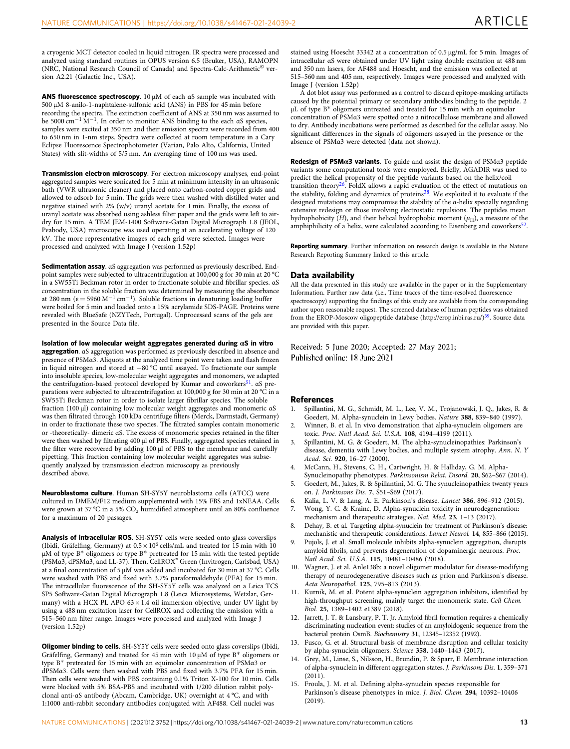<span id="page-12-0"></span>a cryogenic MCT detector cooled in liquid nitrogen. IR spectra were processed and analyzed using standard routines in OPUS version 6.5 (Bruker, USA), RAMOPN (NRC, National Research Council of Canada) and Spectra-Calc-Arithmetic© version A2.21 (Galactic Inc., USA).

ANS fluorescence spectroscopy. 10 μM of each αS sample was incubated with 500 μM 8-anilo-1-naphtalene-sulfonic acid (ANS) in PBS for 45 min before recording the spectra. The extinction coefficient of ANS at 350 nm was assumed to be 5000 cm<sup>-1</sup>  $\rm \dot{M}^{-1}$ . In order to monitor ANS binding to the each aS species, samples were excited at 350 nm and their emission spectra were recorded from 400 to 650 nm in 1-nm steps. Spectra were collected at room temperature in a Cary Eclipse Fluorescence Spectrophotometer (Varian, Palo Alto, California, United States) with slit-widths of 5/5 nm. An averaging time of 100 ms was used.

Transmission electron microscopy. For electron microscopy analyses, end-point aggregated samples were sonicated for 5 min at minimum intensity in an ultrasonic bath (VWR ultrasonic cleaner) and placed onto carbon-coated copper grids and allowed to adsorb for 5 min. The grids were then washed with distilled water and negative stained with 2% (w/v) uranyl acetate for 1 min. Finally, the excess of uranyl acetate was absorbed using ashless filter paper and the grids were left to airdry for 15 min. A TEM JEM-1400 Software-Gatan Digital Micrograph 1.8 (JEOL, Peabody, USA) microscope was used operating at an accelerating voltage of 120 kV. The more representative images of each grid were selected. Images were processed and analyzed with Image J (version 1.52p)

Sedimentation assay. αS aggregation was performed as previously described. Endpoint samples were subjected to ultracentrifugation at 100,000 g for 30 min at 20 °C in a SW55Ti Beckman rotor in order to fractionate soluble and fibrillar species. αS concentration in the soluble fraction was determined by measuring the absorbance at 280 nm ( $\varepsilon$  = 5960 M<sup>-1</sup> cm<sup>-1</sup>). Soluble fractions in denaturing loading buffer were boiled for 5 min and loaded onto a 15% acrylamide SDS-PAGE. Proteins were revealed with BlueSafe (NZYTech, Portugal). Unprocessed scans of the gels are presented in the Source Data file.

Isolation of low molecular weight aggregates generated during  $\alpha$ S in vitro aggregation. αS aggregation was performed as previously described in absence and presence of PSMα3. Aliquots at the analyzed time point were taken and flash frozen in liquid nitrogen and stored at −80 °C until assayed. To fractionate our sample into insoluble species, low-molecular weight aggregates and monomers, we adapted the centrifugation-based protocol developed by Kumar and coworkers<sup>51</sup>. αS preparations were subjected to ultracentrifugation at 100,000 g for 30 min at 20 °C in a SW55Ti Beckman rotor in order to isolate larger fibrillar species. The soluble fraction (100 μl) containing low molecular weight aggregates and monomeric αS was then filtrated through 100 kDa centrifuge filters (Merck, Darmstadt, Germany) in order to fractionate these two species. The filtrated samples contain monomeric or -theoretically- dimeric αS. The excess of monomeric species retained in the filter were then washed by filtrating 400 μl of PBS. Finally, aggregated species retained in the filter were recovered by adding 100 μl of PBS to the membrane and carefully pipetting. This fraction containing low molecular weight aggregates was subsequently analyzed by transmission electron microscopy as previously described above.

Neuroblastoma culture. Human SH-SY5Y neuroblastoma cells (ATCC) were cultured in DMEM/F12 medium supplemented with 15% FBS and 1xNEAA. Cells were grown at 37 °C in a 5%  $CO<sub>2</sub>$  humidified atmosphere until an 80% confluence for a maximum of 20 passages.

Analysis of intracellular ROS. SH-SY5Y cells were seeded onto glass coverslips (Ibidi, Gräfelfing, Germany) at  $0.5 \times 10^6$  cells/mL and treated for 15 min with 10 μM of type B\* oligomers or type B\* pretreated for 15 min with the tested peptide (PSMα3, dPSMα3, and LL-37). Then, CellROX® Green (Invitrogen, Carlsbad, USA) at a final concentration of 5 µM was added and incubated for 30 min at 37 °C. Cells were washed with PBS and fixed with 3.7% paraformaldehyde (PFA) for 15 min. The intracellular fluorescence of the SH-SY5Y cells was analyzed on a Leica TCS SP5 Software-Gatan Digital Micrograph 1.8 (Leica Microsystems, Wetzlar, Germany) with a HCX PL APO  $63 \times 1.4$  oil immersion objective, under UV light by using a 488 nm excitation laser for CellROX and collecting the emission with a 515–560 nm filter range. Images were processed and analyzed with Image J (version 1.52p)

Oligomer binding to cells. SH-SY5Y cells were seeded onto glass coverslips (Ibidi, Gräfelfing, Germany) and treated for 45 min with 10 μM of type B\* oligomers or type B\* pretreated for 15 min with an equimolar concentration of PSMα3 or dPSMα3. Cells were then washed with PBS and fixed with 3.7% PFA for 15 min. Then cells were washed with PBS containing 0.1% Triton X-100 for 10 min. Cells were blocked with 5% BSA-PBS and incubated with 1/200 dilution rabbit polyclonal anti-αS antibody (Abcam, Cambridge, UK) overnight at 4 °C, and with 1:1000 anti-rabbit secondary antibodies conjugated with AF488. Cell nuclei was

stained using Hoescht 33342 at a concentration of 0.5 μg/mL for 5 min. Images of intracellular αS were obtained under UV light using double excitation at 488 nm and 350 nm lasers, for AF488 and Hoescht, and the emission was collected at 515–560 nm and 405 nm, respectively. Images were processed and analyzed with Image J (version 1.52p)

A dot blot assay was performed as a control to discard epitope-masking artifacts caused by the potential primary or secondary antibodies binding to the peptide. 2 μL of type B\* oligomers untreated and treated for 15 min with an equimolar concentration of PSMα3 were spotted onto a nitrocellulose membrane and allowed to dry. Antibody incubations were performed as described for the cellular assay. No significant differences in the signals of oligomers assayed in the presence or the absence of PSMα3 were detected (data not shown).

Redesign of PSMα3 variants. To guide and assist the design of PSMα3 peptide variants some computational tools were employed. Briefly, AGADIR was used to predict the helical propensity of the peptide variants based on the helix/coil transition theory<sup>[26](#page-13-0)</sup>. FoldX allows a rapid evaluation of the effect of mutations on the stability, folding and dynamics of proteins<sup>38</sup>. We exploited it to evaluate if the designed mutations may compromise the stability of the α-helix specially regarding extensive redesign or those involving electrostatic repulsions. The peptides mean hydrophobicity (H), and their helical hydrophobic moment ( $\mu$ <sub>H</sub>), a measure of the amphiphilicity of a helix, were calculated according to Eisenberg and coworkers<sup>52</sup>.

Reporting summary. Further information on research design is available in the Nature Research Reporting Summary linked to this article.

#### Data availability

All the data presented in this study are available in the paper or in the Supplementary Information. Further raw data (i.e., Time traces of the time-resolved fluorescence spectroscopy) supporting the findings of this study are available from the corresponding author upon reasonable request. The screened database of human peptides was obtained from the EROP-Moscow oligopeptide database (http://erop.inbi.ras.ru/)<sup>39</sup>. Source data are provided with this paper.

Received: 5 June 2020; Accepted: 27 May 2021; Published online: 18 June 2021

#### **References**

- 1. Spillantini, M. G., Schmidt, M. L., Lee, V. M., Trojanowski, J. Q., Jakes, R. & Goedert, M. Alpha-synuclein in Lewy bodies. Nature 388, 839–840 (1997).
- 2. Winner, B. et al. In vivo demonstration that alpha-synuclein oligomers are toxic. Proc. Natl Acad. Sci. U.S.A. 108, 4194–4199 (2011).
- 3. Spillantini, M. G. & Goedert, M. The alpha-synucleinopathies: Parkinson's disease, dementia with Lewy bodies, and multiple system atrophy. Ann. N. Y Acad. Sci. 920, 16–27 (2000).
- 4. McCann, H., Stevens, C. H., Cartwright, H. & Halliday, G. M. Alpha-
- Synucleinopathy phenotypes. Parkinsonism Relat. Disord. 20, S62–S67 (2014). 5. Goedert, M., Jakes, R. & Spillantini, M. G. The synucleinopathies: twenty years on. J. Parkinsons Dis. 7, S51–S69 (2017).
- 6. Kalia, L. V. & Lang, A. E. Parkinson's disease. Lancet 386, 896–912 (2015).
- 7. Wong, Y. C. & Krainc, D. Alpha-synuclein toxicity in neurodegeneration:
- mechanism and therapeutic strategies. Nat. Med. 23, 1–13 (2017). 8. Dehay, B. et al. Targeting alpha-synuclein for treatment of Parkinson's disease:
- mechanistic and therapeutic considerations. Lancet Neurol. 14, 855–866 (2015). Pujols, J. et al. Small molecule inhibits alpha-synuclein aggregation, disrupts amyloid fibrils, and prevents degeneration of dopaminergic neurons. Proc.
- Natl Acad. Sci. U.S.A. 115, 10481–10486 (2018). 10. Wagner, J. et al. Anle138b: a novel oligomer modulator for disease-modifying therapy of neurodegenerative diseases such as prion and Parkinson's disease. Acta Neuropathol. 125, 795–813 (2013).
- 11. Kurnik, M. et al. Potent alpha-synuclein aggregation inhibitors, identified by high-throughput screening, mainly target the monomeric state. Cell Chem. Biol. 25, 1389–1402 e1389 (2018).
- 12. Jarrett, J. T. & Lansbury, P. T. Jr. Amyloid fibril formation requires a chemically discriminating nucleation event: studies of an amyloidogenic sequence from the bacterial protein OsmB. Biochemistry 31, 12345–12352 (1992).
- Fusco, G. et al. Structural basis of membrane disruption and cellular toxicity by alpha-synuclein oligomers. Science 358, 1440–1443 (2017).
- 14. Grey, M., Linse, S., Nilsson, H., Brundin, P. & Sparr, E. Membrane interaction of alpha-synuclein in different aggregation states. J. Parkinsons Dis. 1, 359–371  $(2011)$
- 15. Froula, J. M. et al. Defining alpha-synuclein species responsible for Parkinson's disease phenotypes in mice. J. Biol. Chem. 294, 10392–10406 (2019).